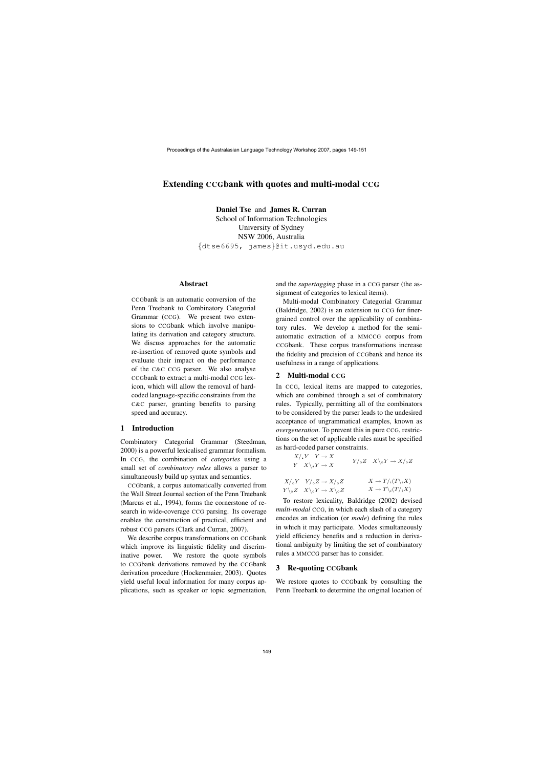# Extending CCGbank with quotes and multi-modal CCG

Daniel Tse and James R. Curran School of Information Technologies University of Sydney NSW 2006, Australia {dtse6695, james}@it.usyd.edu.au

### Abstract

CCGbank is an automatic conversion of the Penn Treebank to Combinatory Categorial Grammar (CCG). We present two extensions to CCGbank which involve manipulating its derivation and category structure. We discuss approaches for the automatic re-insertion of removed quote symbols and evaluate their impact on the performance of the C&C CCG parser. We also analyse CCGbank to extract a multi-modal CCG lexicon, which will allow the removal of hardcoded language-specific constraints from the C&C parser, granting benefits to parsing speed and accuracy.

## 1 Introduction

Combinatory Categorial Grammar (Steedman, 2000) is a powerful lexicalised grammar formalism. In CCG, the combination of *categories* using a small set of *combinatory rules* allows a parser to simultaneously build up syntax and semantics.

CCGbank, a corpus automatically converted from the Wall Street Journal section of the Penn Treebank (Marcus et al., 1994), forms the cornerstone of research in wide-coverage CCG parsing. Its coverage enables the construction of practical, efficient and robust CCG parsers (Clark and Curran, 2007).

We describe corpus transformations on CCGbank which improve its linguistic fidelity and discriminative power. We restore the quote symbols to CCGbank derivations removed by the CCGbank derivation procedure (Hockenmaier, 2003). Quotes yield useful local information for many corpus applications, such as speaker or topic segmentation, and the *supertagging* phase in a CCG parser (the assignment of categories to lexical items).

Multi-modal Combinatory Categorial Grammar (Baldridge, 2002) is an extension to CCG for finergrained control over the applicability of combinatory rules. We develop a method for the semiautomatic extraction of a MMCCG corpus from CCGbank. These corpus transformations increase the fidelity and precision of CCGbank and hence its usefulness in a range of applications.

### 2 Multi-modal CCG

In CCG, lexical items are mapped to categories, which are combined through a set of combinatory rules. Typically, permitting all of the combinators to be considered by the parser leads to the undesired acceptance of ungrammatical examples, known as *overgeneration*. To prevent this in pure CCG, restrictions on the set of applicable rules must be specified as hard-coded parser constraints.

| $X/\star Y \quad Y \to X$<br>$Y \quad X\backslash_{\star} Y \to X$         | $Y/\circ Z \quad X\backslash \circ Y \to X/\circ Z$ |
|----------------------------------------------------------------------------|-----------------------------------------------------|
| $X/\circ Y$ $Y/\circ Z \rightarrow X/\circ Z$                              | $X \to T/i(T\backslash iX)$                         |
| $Y\backslash_{\circ}Z \quad X\backslash_{\circ}Y \to X\backslash_{\circ}Z$ | $X \to T \setminus_i (T / _i X)$                    |

To restore lexicality, Baldridge (2002) devised *multi-modal* CCG, in which each slash of a category encodes an indication (or *mode*) defining the rules in which it may participate. Modes simultaneously yield efficiency benefits and a reduction in derivational ambiguity by limiting the set of combinatory rules a MMCCG parser has to consider.

#### 3 Re-quoting CCGbank

We restore quotes to CCGbank by consulting the Penn Treebank to determine the original location of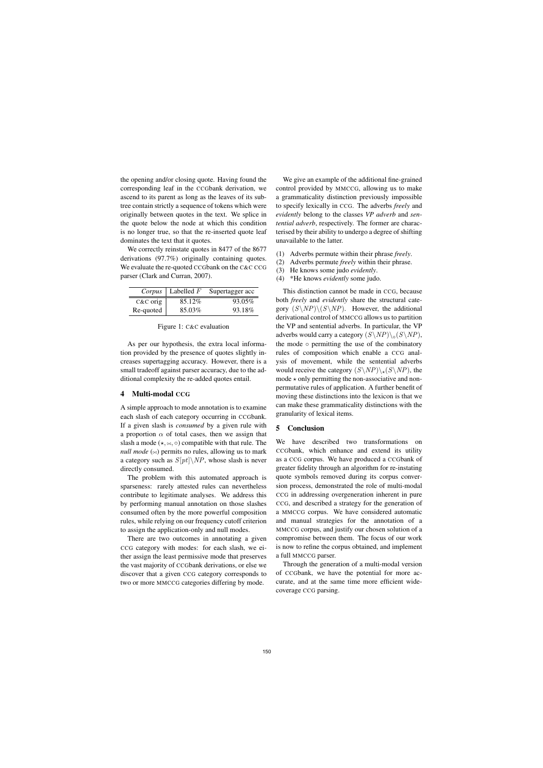the opening and/or closing quote. Having found the corresponding leaf in the CCGbank derivation, we ascend to its parent as long as the leaves of its subtree contain strictly a sequence of tokens which were originally between quotes in the text. We splice in the quote below the node at which this condition is no longer true, so that the re-inserted quote leaf dominates the text that it quotes.

We correctly reinstate quotes in 8477 of the 8677 derivations (97.7%) originally containing quotes. We evaluate the re-quoted CCGbank on the C&C CCG parser (Clark and Curran, 2007).

| Corpus     | Labelled $F$ | Supertagger acc |
|------------|--------------|-----------------|
| $C&C$ orig | 85.12\%      | 93.05%          |
| Re-quoted  | 85.03%       | 93.18%          |

### Figure 1: C&C evaluation

As per our hypothesis, the extra local information provided by the presence of quotes slightly increases supertagging accuracy. However, there is a small tradeoff against parser accuracy, due to the additional complexity the re-added quotes entail.

#### 4 Multi-modal CCG

A simple approach to mode annotation is to examine each slash of each category occurring in CCGbank. If a given slash is *consumed* by a given rule with a proportion  $\alpha$  of total cases, then we assign that slash a mode ( $\star$ ,  $\approx$ ,  $\circ$ ) compatible with that rule. The *null mode*  $(\infty)$  permits no rules, allowing us to mark a category such as  $S[pt] \backslash NP$ , whose slash is never directly consumed.

The problem with this automated approach is sparseness: rarely attested rules can nevertheless contribute to legitimate analyses. We address this by performing manual annotation on those slashes consumed often by the more powerful composition rules, while relying on our frequency cutoff criterion to assign the application-only and null modes.

There are two outcomes in annotating a given CCG category with modes: for each slash, we either assign the least permissive mode that preserves the vast majority of CCGbank derivations, or else we discover that a given CCG category corresponds to two or more MMCCG categories differing by mode.

We give an example of the additional fine-grained control provided by MMCCG, allowing us to make a grammaticality distinction previously impossible to specify lexically in CCG. The adverbs *freely* and *evidently* belong to the classes *VP adverb* and *sentential adverb*, respectively. The former are characterised by their ability to undergo a degree of shifting unavailable to the latter.

- (1) Adverbs permute within their phrase *freely*.
- (2) Adverbs permute *freely* within their phrase.
- (3) He knows some judo *evidently*.
- (4) \*He knows *evidently* some judo.

This distinction cannot be made in CCG, because both *freely* and *evidently* share the structural category  $(S\backslash NP)\backslash (S\backslash NP)$ . However, the additional derivational control of MMCCG allows us to partition the VP and sentential adverbs. In particular, the VP adverbs would carry a category  $(S\setminus NP)\setminus_{\circ}(S\setminus NP)$ , the mode  $\circ$  permitting the use of the combinatory rules of composition which enable a CCG analysis of movement, while the sentential adverbs would receive the category  $(S\backslash NP)\backslash (S\backslash NP)$ , the  $mode \star only$  permitting the non-associative and nonpermutative rules of application. A further benefit of moving these distinctions into the lexicon is that we can make these grammaticality distinctions with the granularity of lexical items.

## 5 Conclusion

We have described two transformations on CCGbank, which enhance and extend its utility as a CCG corpus. We have produced a CCGbank of greater fidelity through an algorithm for re-instating quote symbols removed during its corpus conversion process, demonstrated the role of multi-modal CCG in addressing overgeneration inherent in pure CCG, and described a strategy for the generation of a MMCCG corpus. We have considered automatic and manual strategies for the annotation of a MMCCG corpus, and justify our chosen solution of a compromise between them. The focus of our work is now to refine the corpus obtained, and implement a full MMCCG parser.

Through the generation of a multi-modal version of CCGbank, we have the potential for more accurate, and at the same time more efficient widecoverage CCG parsing.